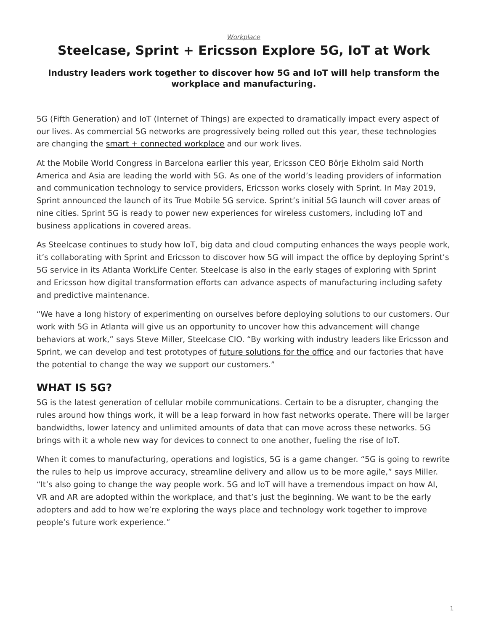# <span id="page-0-0"></span>**Steelcase, Sprint + Ericsson Explore 5G, IoT at Work**

#### **Industry leaders work together to discover how 5G and IoT will help transform the workplace and manufacturing.**

5G (Fifth Generation) and IoT (Internet of Things) are expected to dramatically impact every aspect of our lives. As commercial 5G networks are progressively being rolled out this year, these technologies are changing the  $smart + connected workplace$  and our work lives.

At the Mobile World Congress in Barcelona earlier this year, Ericsson CEO Börje Ekholm said North America and Asia are leading the world with 5G. As one of the world's leading providers of information and communication technology to service providers, Ericsson works closely with Sprint. In May 2019, Sprint announced the launch of its True Mobile 5G service. Sprint's initial 5G launch will cover areas of nine cities. Sprint 5G is ready to power new experiences for wireless customers, including IoT and business applications in covered areas.

As Steelcase continues to study how IoT, big data and cloud computing enhances the ways people work, it's collaborating with Sprint and Ericsson to discover how 5G will impact the office by deploying Sprint's 5G service in its Atlanta WorkLife Center. Steelcase is also in the early stages of exploring with Sprint and Ericsson how digital transformation efforts can advance aspects of manufacturing including safety and predictive maintenance.

"We have a long history of experimenting on ourselves before deploying solutions to our customers. Our work with 5G in Atlanta will give us an opportunity to uncover how this advancement will change behaviors at work," says Steve Miller, Steelcase CIO. "By working with industry leaders like Ericsson and Sprint, we can develop and test prototypes of [future solutions for the office](https://www.steelcase.com/products/technology/) and our factories that have the potential to change the way we support our customers."

### **WHAT IS 5G?**

5G is the latest generation of cellular mobile communications. Certain to be a disrupter, changing the rules around how things work, it will be a leap forward in how fast networks operate. There will be larger bandwidths, lower latency and unlimited amounts of data that can move across these networks. 5G brings with it a whole new way for devices to connect to one another, fueling the rise of IoT.

When it comes to manufacturing, operations and logistics, 5G is a game changer. "5G is going to rewrite the rules to help us improve accuracy, streamline delivery and allow us to be more agile," says Miller. "It's also going to change the way people work. 5G and IoT will have a tremendous impact on how AI, VR and AR are adopted within the workplace, and that's just the beginning. We want to be the early adopters and add to how we're exploring the ways place and technology work together to improve people's future work experience."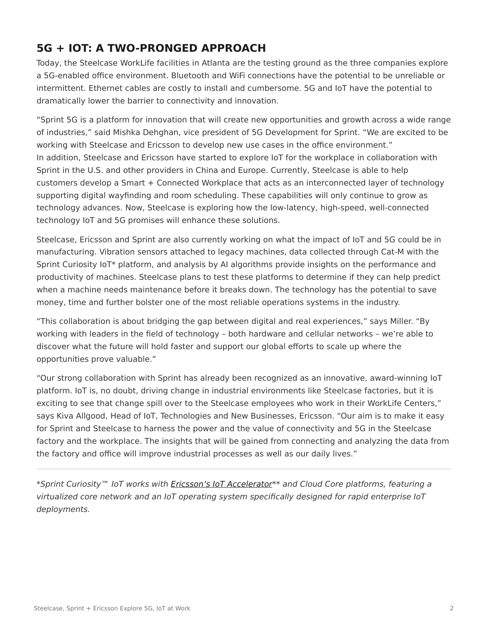## **5G + IOT: A TWO-PRONGED APPROACH**

Today, the Steelcase WorkLife facilities in Atlanta are the testing ground as the three companies explore a 5G-enabled office environment. Bluetooth and WiFi connections have the potential to be unreliable or intermittent. Ethernet cables are costly to install and cumbersome. 5G and IoT have the potential to dramatically lower the barrier to connectivity and innovation.

"Sprint 5G is a platform for innovation that will create new opportunities and growth across a wide range of industries," said Mishka Dehghan, vice president of 5G Development for Sprint. "We are excited to be working with Steelcase and Ericsson to develop new use cases in the office environment." In addition, Steelcase and Ericsson have started to explore IoT for the workplace in collaboration with Sprint in the U.S. and other providers in China and Europe. Currently, Steelcase is able to help customers develop a Smart + Connected Workplace that acts as an interconnected layer of technology supporting digital wayfinding and room scheduling. These capabilities will only continue to grow as technology advances. Now, Steelcase is exploring how the low-latency, high-speed, well-connected technology IoT and 5G promises will enhance these solutions.

Steelcase, Ericsson and Sprint are also currently working on what the impact of IoT and 5G could be in manufacturing. Vibration sensors attached to legacy machines, data collected through Cat-M with the Sprint Curiosity IoT\* platform, and analysis by AI algorithms provide insights on the performance and productivity of machines. Steelcase plans to test these platforms to determine if they can help predict when a machine needs maintenance before it breaks down. The technology has the potential to save money, time and further bolster one of the most reliable operations systems in the industry.

"This collaboration is about bridging the gap between digital and real experiences," says Miller. "By working with leaders in the field of technology – both hardware and cellular networks – we're able to discover what the future will hold faster and support our global efforts to scale up where the opportunities prove valuable."

"Our strong collaboration with Sprint has already been recognized as an innovative, award-winning IoT platform. IoT is, no doubt, driving change in industrial environments like Steelcase factories, but it is exciting to see that change spill over to the Steelcase employees who work in their WorkLife Centers," says Kiva Allgood, Head of IoT, Technologies and New Businesses, Ericsson. "Our aim is to make it easy for Sprint and Steelcase to harness the power and the value of connectivity and 5G in the Steelcase factory and the workplace. The insights that will be gained from connecting and analyzing the data from the factory and office will improve industrial processes as well as our daily lives."

\*Sprint Curiosity™ IoT works with [Ericsson's IoT Accelerator\\*](https://www.ericsson.com/en/internet-of-things/iot-platform)\* and Cloud Core platforms, featuring a virtualized core network and an IoT operating system specifically designed for rapid enterprise IoT deployments.